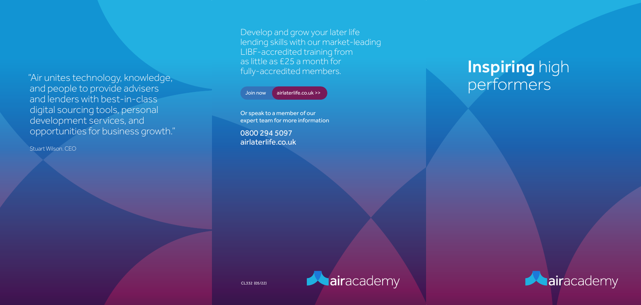Develop and grow your later life lending skills with our market-leading LIBF-accredited training from as little as £25 a month for fully-accredited members.



Join now airlaterlife.co.uk >>

## **Inspiring high** performers



Or speak to a member of our expert team for more information

0800 294 5097 airlaterlife.co.uk



CL332 (05/22)

"Air unites technology, knowledge, and people to provide advisers and lenders with best-in-class digital sourcing tools, personal development services, and opportunities for business growth."

Stuart Wilson. CEO